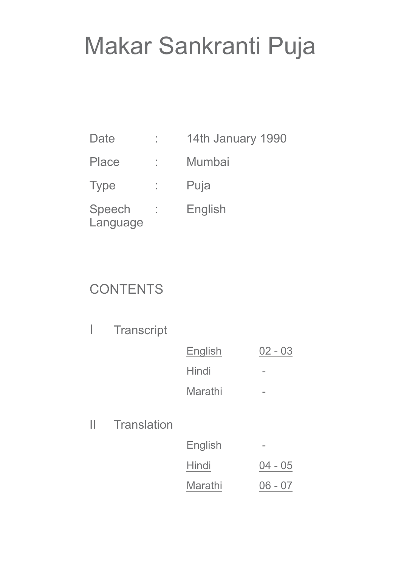# Makar Sankranti Puja

| Date               | ٠ | 14th January 1990 |
|--------------------|---|-------------------|
| Place              | ٠ | Mumbai            |
| <b>Type</b>        |   | Puja              |
| Speech<br>Language |   | English           |

#### **CONTENTS**

| Transcript |  |
|------------|--|
|------------|--|

| English | $02 - 03$ |
|---------|-----------|
| Hindi   |           |
| Marathi |           |

II Translation

| English |           |
|---------|-----------|
| Hindi   | $04 - 05$ |
| Marathi | $06 - 07$ |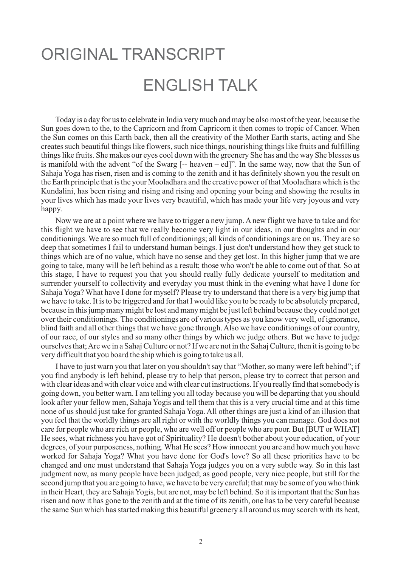#### <span id="page-1-0"></span>ORIGINAL TRANSCRIPT ENGLISH TALK

Today is a day for us to celebrate in India very much and may be also most of the year, because the Sun goes down to the, to the Capricorn and from Capricorn it then comes to tropic of Cancer. When the Sun comes on this Earth back, then all the creativity of the Mother Earth starts, acting and She creates such beautiful things like flowers, such nice things, nourishing things like fruits and fulfilling things like fruits. She makes our eyes cool down with the greenery She has and the way She blesses us is manifold with the advent "of the Swarg  $[-$  heaven  $-$  ed]". In the same way, now that the Sun of Sahaja Yoga has risen, risen and is coming to the zenith and it has definitely shown you the result on the Earth principle that is the your Mooladhara and the creative power of that Mooladhara which is the Kundalini, has been rising and rising and rising and opening your being and showing the results in your lives which has made your lives very beautiful, which has made your life very joyous and very happy.

Now we are at a point where we have to trigger a new jump. A new flight we have to take and for this flight we have to see that we really become very light in our ideas, in our thoughts and in our conditionings. We are so much full of conditionings; all kinds of conditionings are on us. They are so deep that sometimes I fail to understand human beings. I just don't understand how they get stuck to things which are of no value, which have no sense and they get lost. In this higher jump that we are going to take, many will be left behind as a result; those who won't be able to come out of that. So at this stage, I have to request you that you should really fully dedicate yourself to meditation and surrender yourself to collectivity and everyday you must think in the evening what have I done for Sahaja Yoga? What have I done for myself? Please try to understand that there is a very big jump that we have to take. It is to be triggered and for that I would like you to be ready to be absolutely prepared, because in this jump many might be lost and many might be just left behind because they could not get over their conditionings. The conditionings are of various types as you know very well, of ignorance, blind faith and all other things that we have gone through. Also we have conditionings of our country, of our race, of our styles and so many other things by which we judge others. But we have to judge ourselves that; Are we in a Sahaj Culture or not? If we are not in the Sahaj Culture, then it is going to be very difficult that you board the ship which is going to take us all.

I have to just warn you that later on you shouldn't say that "Mother, so many were left behind"; if you find anybody is left behind, please try to help that person, please try to correct that person and with clear ideas and with clear voice and with clear cut instructions. If you really find that somebody is going down, you better warn. I am telling you all today because you will be departing that you should look after your fellow men, Sahaja Yogis and tell them that this is a very crucial time and at this time none of us should just take for granted Sahaja Yoga. All other things are just a kind of an illusion that you feel that the worldly things are all right or with the worldly things you can manage. God does not care for people who are rich or people, who are well off or people who are poor. But [BUT or WHAT] He sees, what richness you have got of Spirituality? He doesn't bother about your education, of your degrees, of your purposeness, nothing. What He sees? How innocent you are and how much you have worked for Sahaja Yoga? What you have done for God's love? So all these priorities have to be changed and one must understand that Sahaja Yoga judges you on a very subtle way. So in this last judgment now, as many people have been judged; as good people, very nice people, but still for the second jump that you are going to have, we have to be very careful; that may be some of you who think in their Heart, they are Sahaja Yogis, but are not, may be left behind. So it is important that the Sun has risen and now it has gone to the zenith and at the time of its zenith, one has to be very careful because the same Sun which has started making this beautiful greenery all around us may scorch with its heat,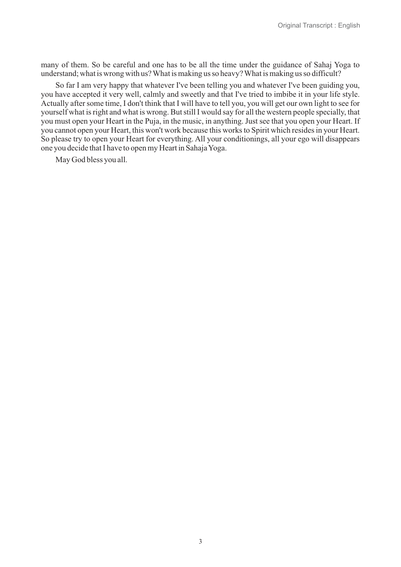many of them. So be careful and one has to be all the time under the guidance of Sahaj Yoga to understand; what is wrong with us? What is making us so heavy? What is making us so difficult?

So far I am very happy that whatever I've been telling you and whatever I've been guiding you, you have accepted it very well, calmly and sweetly and that I've tried to imbibe it in your life style. Actually after some time, I don't think that I will have to tell you, you will get our own light to see for yourself what is right and what is wrong. But still I would say for all the western people specially, that you must open your Heart in the Puja, in the music, in anything. Just see that you open your Heart. If you cannot open your Heart, this won't work because this works to Spirit which resides in your Heart. So please try to open your Heart for everything. All your conditionings, all your ego will disappears one you decide that I have to open my Heart in Sahaja Yoga.

May God bless you all.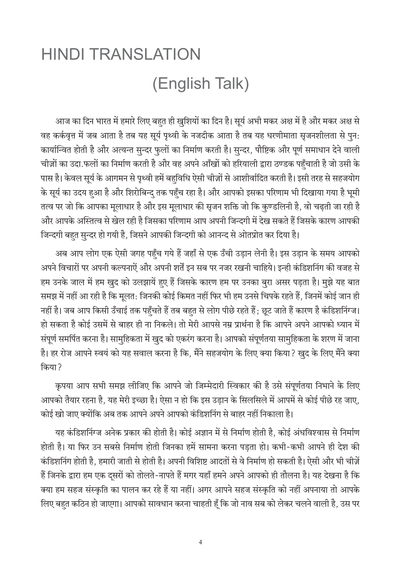## <span id="page-3-0"></span>**HINDI TRANSLATION** (English Talk)

आज का दिन भारत में हमारे लिए बहत ही खुशियों का दिन है। सूर्य अभी मकर अक्ष में है और मकर अक्ष से वह कर्कवृत्त में जब आता है तब यह सूर्य पृथ्वी के नजदीक आता है तब यह धरणीमाता सृजनशीलता से पुन: कार्यान्वित होती है और अत्यन्त सुन्दर फुलों का निर्माण करती है। सुन्दर, पौष्टिक और पूर्ण समाधान देने वाली चीज़ों का उदा.फलों का निर्माण करती है और वह अपने आँखों को हरियाली द्वारा ठण्डक पहँचाती है जो उसी के पास है। केवल सूर्य के आगमन से पृथ्वी हमें बहुविधि ऐसी चीज़ों से आशीर्वादित करती है। इसी तरह से सहजयोग के सूर्य का उदय हुआ है और शिरोबिन्द् तक पहुँच रहा है। और आपको इसका परिणाम भी दिखाया गया है भूमी तत्व पर जो कि आपका मूलाधार है और इस मूलाधार की सृजन शक्ति जो कि कुण्डलिनी है, वो चढ़ती जा रही है और आपके अस्तित्व से खेल रही है जिसका परिणाम आप अपनी जिन्दगी में देख सकते हैं जिसके कारण आपकी जिन्दगी बहत सून्दर हो गयी है, जिसने आपकी जिन्दगी को आनन्द से ओतप्रोत कर दिया है।

अब आप लोग एक ऐसी जगह पहुँच गये हैं जहाँ से एक उँची उड़ान लेनी है। इस उड़ान के समय आपको अपने विचारों पर अपनी कल्पनाऐं और अपनी शर्तें इन सब पर नजर रखनी चाहिये। इन्ही कंडिशनिंग की वजह से हम उनके जाल में हम खुद को उलझायें हुए हैं जिसके कारण हम पर उनका बुरा असर पड़ता है। मुझे यह बात समझ में नहीं आ रही है कि मूलत: जिनकी कोई किमत नहीं फिर भी हम उनसे चिपके रहते हैं, जिनमें कोई जान ही नहीं है। जब आप किसी उँचाई तक पहुँचते हैं तब बहुत से लोग पीछे रहते हैं; छूट जाते हैं कारण है कंडिशनिंग्ज। हो सकता है कोई उसमें से बाहर ही ना निकले। तो मेरी आपसे नम्र प्रार्थना है कि आपने अपने आपको ध्यान में संपूर्ण समर्पित करना है। सामुहिकता में खुद को एकरंग करना है। आपको संपूर्णतया सामुहिकता के शरण में जाना है। हर रोज आपने स्वयं को यह सवाल करना है कि, मैंने सहजयोग के लिए क्या किया? खुद के लिए मैंने क्या किया ?

कृपया आप सभी समझ लीजिए कि आपने जो जिम्मेदारी स्विकार की है उसे संपूर्णतया निभाने के लिए आपको तैयार रहना है, यह मेरी इच्छा है। ऐसा न हो कि इस उड़ान के सिलसिले में आपमें से कोई पीछे रह जाए, कोई खो जाए क्योंकि अब तक आपने अपने आपको कंडिशनिंग से बाहर नहीं निकाला है।

यह कंडिशनिंग्ज अनेक प्रकार की होती है। कोई अज्ञान में से निर्माण होती है, कोई अंधविश्वास से निर्माण होती है। या फिर उन सबसे निर्माण होती जिनका हमें सामना करना पडता हो। कभी-कभी आपने ही देश की कंडिशनिंग होती है, हमारी जाती से होती है। अपनी विशिष्ट आदतों से वे निर्माण हो सकती है। ऐसी और भी चीज़ें हैं जिनके द्वारा हम एक दूसरों को तोलते-नापते हैं मगर यहाँ हमने अपने आपको ही तौलना है। यह देखना है कि क्या हम सहज संस्कृति का पालन कर रहे हैं या नहीं। अगर आपने सहज संस्कृति को नहीं अपनाया तो आपके लिए बहत कठिन हो जाएगा। आपको सावधान करना चाहती हँ कि जो नाव सब को लेकर चलने वाली है, उस पर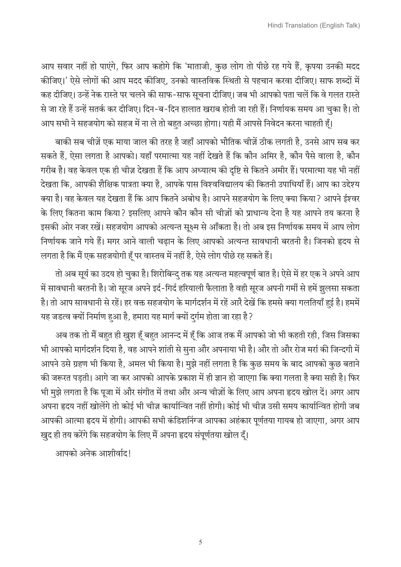आप सवार नहीं हो पाएंगे, फिर आप कहोगे कि 'माताजी, कुछ लोग तो पीछे रह गये हैं, कृपया उनकी मदद कीजिए।' ऐसे लोगों की आप मदद कीजिए, उनको वास्तविक स्थिती से पहचान करवा दीजिए। साफ शब्दों में कह दीजिए। उन्हें नेक रास्ते पर चलने की साफ-साफ सूचना दीजिए। जब भी आपको पता चलें कि वे गलत रास्ते से जा रहे हैं उन्हें सतर्क कर दीजिए। दिन-ब-दिन हालात खराब होती जा रही हैं। निर्णायक समय आ चुका है। तो

आप सभी ने सहजयोग को सहज में ना ले तो बहुत अच्छा होगा। यही मैं आपसे निवेदन करना चाहती हूँ।

बाकी सब चीज़ें एक माया जाल की तरह है जहाँ आपको भौतिक चीज़ें ठीक लगती है, उनसे आप सब कर सकते हैं, ऐसा लगता है आपको। यहाँ परमात्मा यह नहीं देखते हैं कि कौन अमिर है, कौन पैसे वाला है, कौन गरीब है। वह केवल एक ही चीज़ देखता हैं कि आप अध्यात्म की दृष्टि से कितने अमीर हैं। परमात्मा यह भी नहीं देखता कि, आपकी शैक्षिक पात्रता क्या है, आपके पास विश्वविद्यालय की कितनी उपाधियाँ हैं। आप का उद्देश्य क्या है। वह केवल यह देखता हैं कि आप कितने अबोध है। आपने सहजयोग के लिए क्या किया ? आपने ईश्वर के लिए कितना काम किया? इसलिए आपने कौन कौन सी चीज़ों को प्राधान्य देना है यह आपने तय करना है इसकी ओर नजर रखें। सहजयोग आपको अत्यन्त सूक्ष्म से आँकता है। तो अब इस निर्णायक समय में आप लोग निर्णायक जाने गये हैं। मगर आने वाली चढान के लिए आपको अत्यन्त सावधानी बरतनी है। जिनको हृदय से लगता है कि मैं एक सहजयोगी हूँ पर वास्तव में नहीं है, ऐसे लोग पीछे रह सकते हैं।

तो अब सूर्य का उदय हो चुका है। शिरोबिन्दु तक यह अत्यन्त महत्वपूर्ण बात है। ऐसे में हर एक ने अपने आप में सावधानी बरतनी है। जो सूरज अपने इर्द-गिर्द हरियाली फैलाता है वही सूरज अपनी गर्मी से हमें झुलसा सकता है। तो आप सावधानी से रहें। हर वक्त सहजयोग के मार्गदर्शन में रहें आरै देखें कि हमसे क्या गलतियाँ हुई है। हममें यह जडत्व क्यों निर्माण हुआ है, हमारा यह मार्ग क्यों दर्गम होता जा रहा है ?

अब तक तो मैं बहुत ही खुश हूँ बहुत आनन्द में हूँ कि आज तक मैं आपको जो भी कहती रही, जिस जिसका भी आपको मार्गदर्शन दिया है, वह आपने शांती से सुना और अपनाया भी है। और तो और रोज मर्रा की जिन्दगी में आपने उसे ग्रहण भी किया है, अमल भी किया है। मुझे नहीं लगता है कि कुछ समय के बाद आपको कुछ बताने की जरूरत पड़ती। आगे जा कर आपको आपके प्रकाश में ही ज्ञान हो जाएगा कि क्या गलता है क्या सही है। फिर भी मुझे लगता है कि पूजा में और संगीत में तथा और अन्य चीज़ों के लिए आप अपना हृदय खोल दें। अगर आप अपना हृदय नहीं खोलेंगे तो कोई भी चीज़ कार्यान्वित नहीं होगी। कोई भी चीज़ उसी समय कार्यान्वित होगी जब आपकी आत्मा हृदय में होगी। आपकी सभी कंडिशनिंग्ज आपका अहंकार पूर्णतया गायब हो जाएगा, अगर आप खुद ही तय करेंगे कि सहजयोग के लिए मैं अपना हृदय संपूर्णतया खोल दूँ।

आपको अनेक आशीर्वाद!

5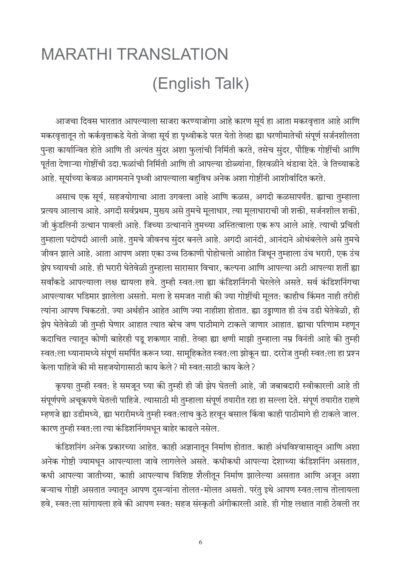### <span id="page-5-0"></span>**MARATHI TRANSLATION** (English Talk)

आजचा दिवस भारतात आपल्याला साजरा करण्याजोगा आहे कारण सूर्य हा आता मकरवृत्तात आहे आणि मकरवृत्तातून तो कर्कवृत्ताकडे येतो जेव्हा सूर्य हा पृथ्वीकडे परत येतो तेव्हा ह्या धरणीमातेची संपूर्ण सर्जनशीलता पुन्हा कार्यान्वित होते आणि ती अत्यंत सुंदर अशा फुलांची निर्मिती करते, तसेच सुंदर, पौष्टिक गोष्टींची आणि पूर्तता देणाऱ्या गोष्टींची उदा.फळांची निर्मिती आणि ती आपल्या डोळ्यांना, हिरवळीने थंडावा देते. जे तिच्याकडे आहे. सूर्याच्या केवळ आगमनाने पृथ्वी आपल्याला बहुविध अनेक अशा गोष्टींनी आशीर्वादित करते.

असाच एक सूर्य, सहजयोगाचा आता उगवला आहे आणि कळस, अगदी कळसापर्यंत. ह्याचा तुम्हाला प्रत्यय आलाच आहे. अगदी सर्वप्रथम, मुख्य असे तुमचे मुलाधार, त्या मुलाधाराची जी शक्ती, सर्जनशील शक्ती, जी कुंडलिनी उत्थान पावली आहे. जिच्या उत्थानाने तुमच्या अस्तित्वाला एक रूप आले आहे. त्याची प्रचिती तुम्हाला पदोपदी आली आहे. तुमचे जीवनच सुंदर बनले आहे. अगदी आनंदी, आनंदाने ओथंबलेले असे तुमचे जीवन झाले आहे. आता आपण अशा एका उच्च ठिकाणी पोहोचलो आहोत जिथून तुम्हाला उंच भरारी, एक उंच झेप घ्यायची आहे. ही भरारी घेतेवेळी तुम्हाला सारासार विचार, कल्पना आणि आपल्या अटी आपल्या शर्ती ह्या सर्वांकडे आपल्याला लक्ष द्यायला हवे. तुम्ही स्वत:ला ह्या कंडिशनिंगनी घेरलेले असते. सर्व कंडिशनिंगचा आपल्यावर भडिमार झालेला असतो. मला हे समजत नाही की ज्या गोष्टींची मूलत: काहीच किंमत नाही तरीही त्यांना आपण चिकटतो. ज्या अर्थहीन आहेत आणि ज्या नाहीशा होतात. ह्या उड्डाणात ही उंच उडी घेतेवेळी, ही झेप घेतेवेळी जी तुम्ही घेणार आहात त्यात बरेच जण पाठीमागे टाकले जाणार आहात. ह्याचा परिणाम म्हणून कदाचित त्यातून कोणी बाहेरही पडू शकणार नाही. तेव्हा ह्या क्षणी माझी तुम्हाला नम्र विनंती आहे की तुम्ही स्वत:ला ध्यानामध्ये संपूर्ण समर्पित करून घ्या. सामूहिकतेत स्वत:ला झोकून द्या. दररोज तुम्ही स्वत:ला हा प्रश्न केला पाहिजे की मी सहजयोगासाठी काय केले ? मी स्वतःसाठी काय केले ?

कृपया तुम्ही स्वत: हे समजून घ्या की तुम्ही ही जी झेप घेतली आहे, जी जबाबदारी स्वीकारली आहे ती संपूर्णपणे अचूकपणे घेतली पाहिजे. त्यासाठी मी तुम्हाला संपूर्ण तयारीत रहा हा सल्ला देते. संपूर्ण तयारीत राहणे म्हणजे ह्या उडीमध्ये, ह्या भरारीमध्ये तुम्ही स्वत:लाच कुठे हरवून बसाल किंवा काही पाठीमागे ही टाकले जाल. कारण तुम्ही स्वत:ला त्या कंडिशनिंगमधून बाहेर काढले नसेल.

कंडिशनिंग अनेक प्रकारच्या आहेत. काही अज्ञानातून निर्माण होतात. काही अंधविश्वासातून आणि अशा अनेक गोष्टी ज्यामधून आपल्याला जावे लागलेले असते. कधीकधी आपल्या देशाच्या कंडिशनिंग असतात, कधी आपल्या जातीच्या, काही आपल्याच विशिष्ट शैलीतून निर्माण झालेल्या असतात आणि अजून अशा बऱ्याच गोष्टी असतात ज्यातून आपण दुसऱ्यांना तोलत-मोलत असतो. परंतु इथे आपण स्वत:लाच तोलायला हवे, स्वत:ला सांगायला हवे की आपण स्वत: सहज संस्कृती अंगीकारली आहे. ही गोष्ट लक्षात नाही ठेवली तर